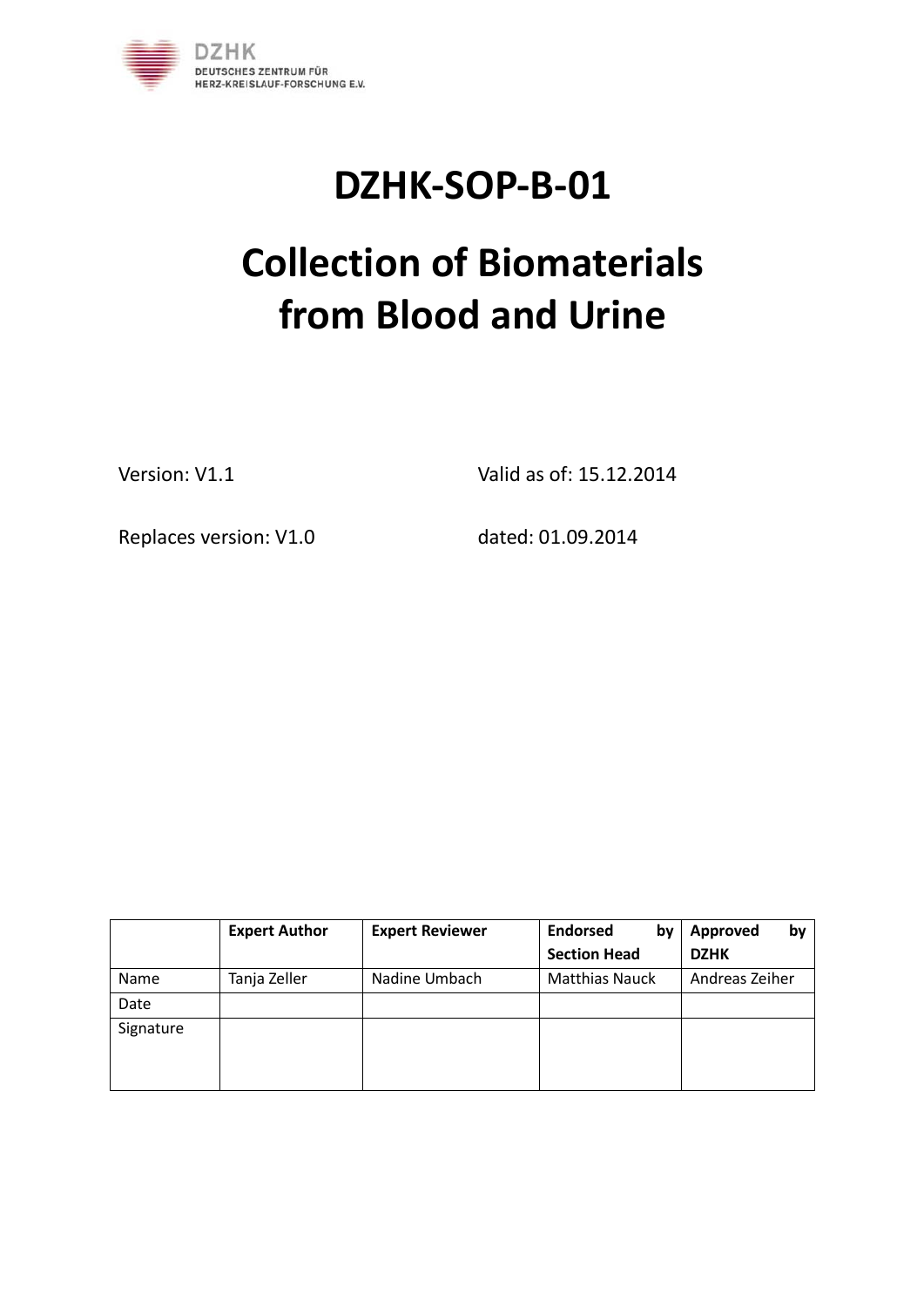

## **DZHK-SOP-B-01**

# **Collection of Biomaterials from Blood and Urine**

Version: V1.1 Valid as of: 15.12.2014

Replaces version: V1.0 dated: 01.09.2014

|           | <b>Expert Author</b> | <b>Expert Reviewer</b> | <b>Endorsed</b><br>by | by<br><b>Approved</b> |
|-----------|----------------------|------------------------|-----------------------|-----------------------|
|           |                      |                        | <b>Section Head</b>   | <b>DZHK</b>           |
| Name      | Tanja Zeller         | Nadine Umbach          | <b>Matthias Nauck</b> | Andreas Zeiher        |
| Date      |                      |                        |                       |                       |
| Signature |                      |                        |                       |                       |
|           |                      |                        |                       |                       |
|           |                      |                        |                       |                       |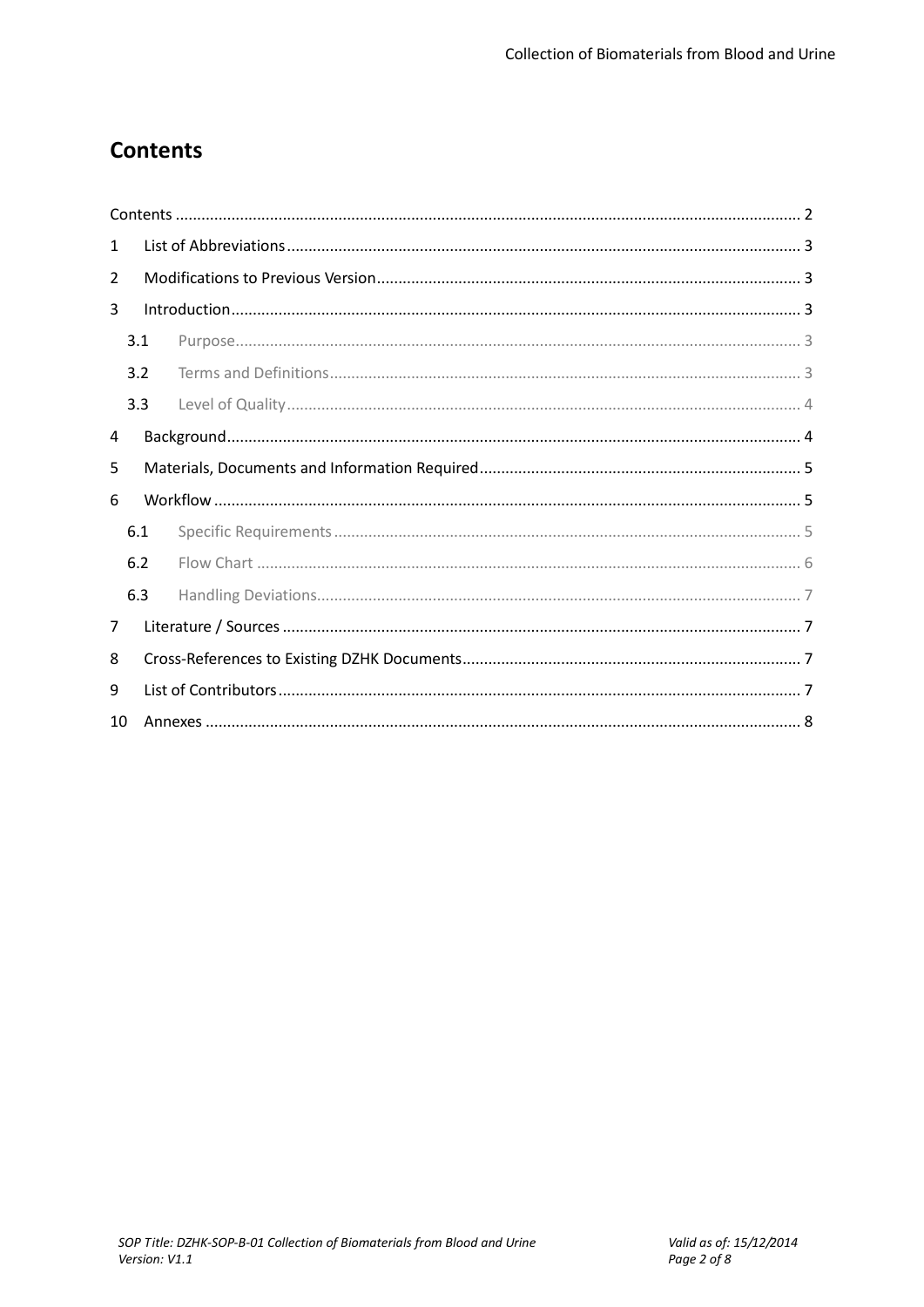## **Contents**

| 1  |     |  |  |  |  |
|----|-----|--|--|--|--|
| 2  |     |  |  |  |  |
| 3  |     |  |  |  |  |
|    | 3.1 |  |  |  |  |
|    | 3.2 |  |  |  |  |
|    | 3.3 |  |  |  |  |
| 4  |     |  |  |  |  |
| 5  |     |  |  |  |  |
| 6  |     |  |  |  |  |
|    | 6.1 |  |  |  |  |
|    | 6.2 |  |  |  |  |
|    | 6.3 |  |  |  |  |
| 7  |     |  |  |  |  |
| 8  |     |  |  |  |  |
| 9  |     |  |  |  |  |
| 10 |     |  |  |  |  |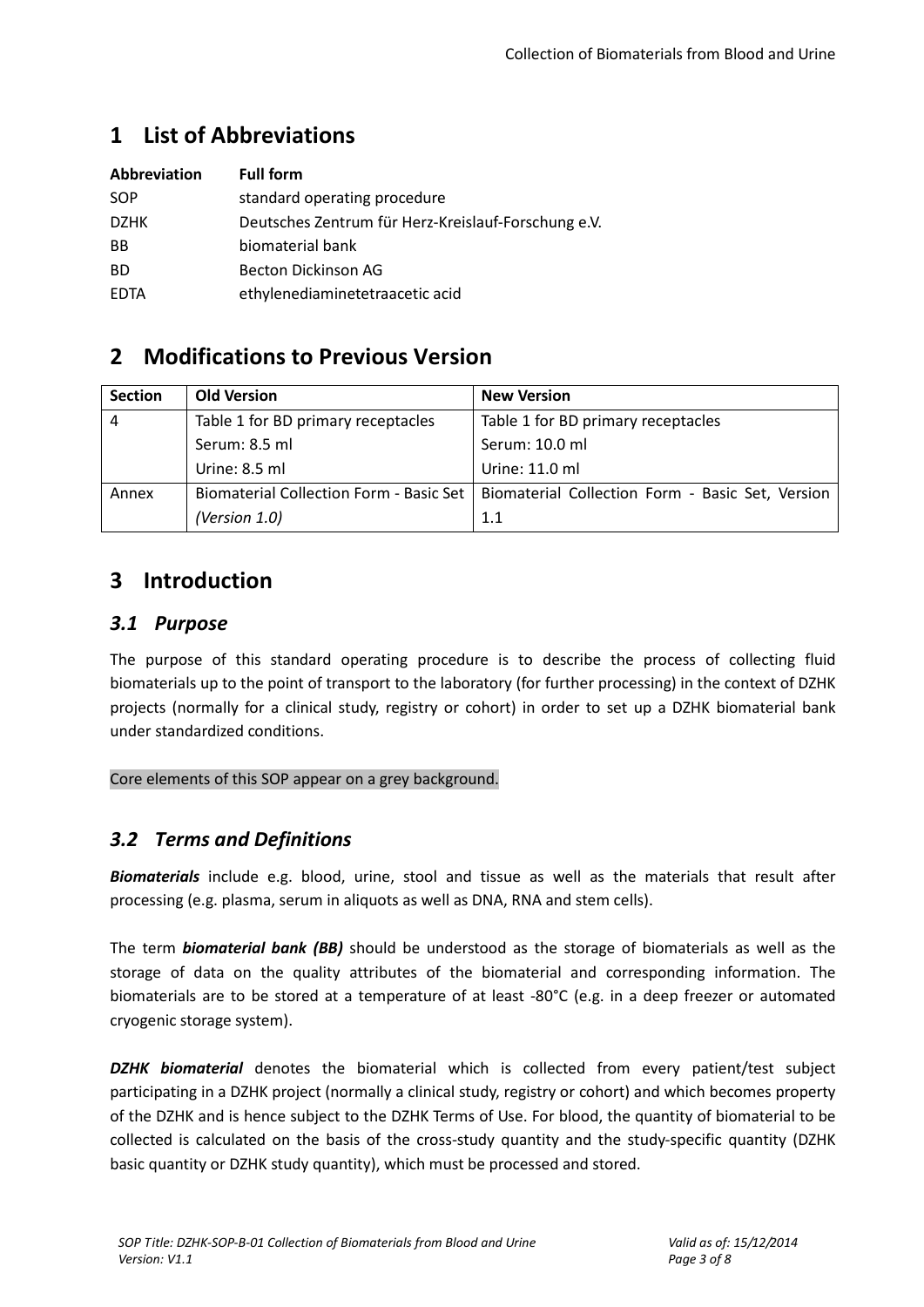## **1 List of Abbreviations**

| Abbreviation | <b>Full form</b>                                    |
|--------------|-----------------------------------------------------|
| SOP          | standard operating procedure                        |
| <b>DZHK</b>  | Deutsches Zentrum für Herz-Kreislauf-Forschung e.V. |
| <b>BB</b>    | biomaterial bank                                    |
| <b>BD</b>    | Becton Dickinson AG                                 |
| <b>EDTA</b>  | ethylenediaminetetraacetic acid                     |

## **2 Modifications to Previous Version**

| <b>Section</b> | <b>Old Version</b>                             | <b>New Version</b>                               |
|----------------|------------------------------------------------|--------------------------------------------------|
| 4              | Table 1 for BD primary receptacles             | Table 1 for BD primary receptacles               |
|                | Serum: 8.5 ml                                  | Serum: 10.0 ml                                   |
|                | Urine: 8.5 ml                                  | Urine: 11.0 ml                                   |
| Annex          | <b>Biomaterial Collection Form - Basic Set</b> | Biomaterial Collection Form - Basic Set, Version |
|                | (Version 1.0)                                  | 1.1                                              |

## **3 Introduction**

#### *3.1 Purpose*

The purpose of this standard operating procedure is to describe the process of collecting fluid biomaterials up to the point of transport to the laboratory (for further processing) in the context of DZHK projects (normally for a clinical study, registry or cohort) in order to set up a DZHK biomaterial bank under standardized conditions.

#### Core elements of this SOP appear on a grey background.

#### *3.2 Terms and Definitions*

*Biomaterials* include e.g. blood, urine, stool and tissue as well as the materials that result after processing (e.g. plasma, serum in aliquots as well as DNA, RNA and stem cells).

The term *biomaterial bank (BB)* should be understood as the storage of biomaterials as well as the storage of data on the quality attributes of the biomaterial and corresponding information. The biomaterials are to be stored at a temperature of at least -80°C (e.g. in a deep freezer or automated cryogenic storage system).

*DZHK biomaterial* denotes the biomaterial which is collected from every patient/test subject participating in a DZHK project (normally a clinical study, registry or cohort) and which becomes property of the DZHK and is hence subject to the DZHK Terms of Use. For blood, the quantity of biomaterial to be collected is calculated on the basis of the cross-study quantity and the study-specific quantity (DZHK basic quantity or DZHK study quantity), which must be processed and stored.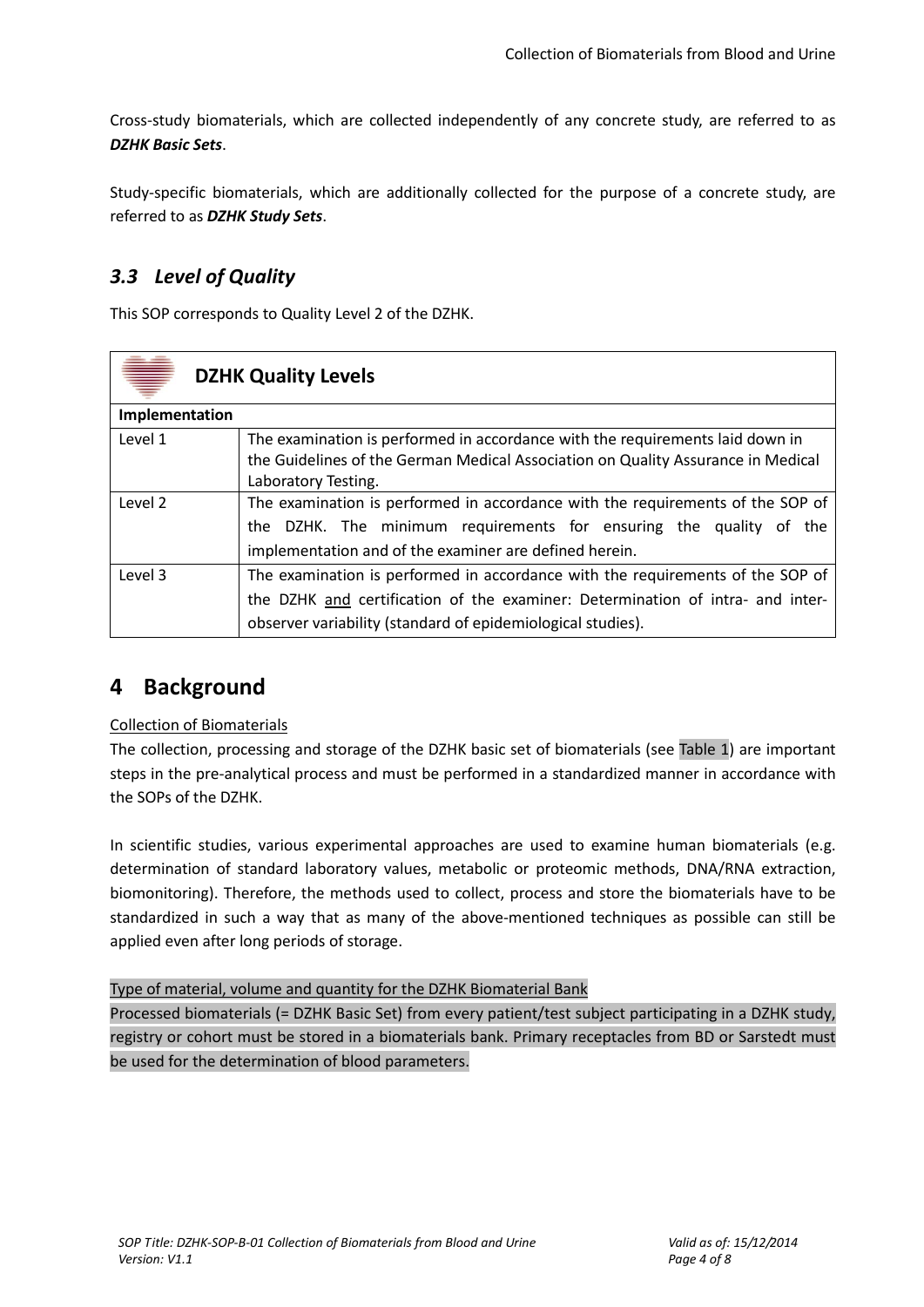Cross-study biomaterials, which are collected independently of any concrete study, are referred to as *DZHK Basic Sets*.

Study-specific biomaterials, which are additionally collected for the purpose of a concrete study, are referred to as *DZHK Study Sets*.

### *3.3 Level of Quality*

This SOP corresponds to Quality Level 2 of the DZHK.

|                | <b>DZHK Quality Levels</b>                                                       |  |  |
|----------------|----------------------------------------------------------------------------------|--|--|
| Implementation |                                                                                  |  |  |
| Level 1        | The examination is performed in accordance with the requirements laid down in    |  |  |
|                | the Guidelines of the German Medical Association on Quality Assurance in Medical |  |  |
|                | Laboratory Testing.                                                              |  |  |
| Level 2        | The examination is performed in accordance with the requirements of the SOP of   |  |  |
|                | the DZHK. The minimum requirements for ensuring the quality of the               |  |  |
|                | implementation and of the examiner are defined herein.                           |  |  |
| Level 3        | The examination is performed in accordance with the requirements of the SOP of   |  |  |
|                | the DZHK and certification of the examiner: Determination of intra- and inter-   |  |  |
|                | observer variability (standard of epidemiological studies).                      |  |  |

## **4 Background**

#### Collection of Biomaterials

The collection, processing and storage of the DZHK basic set of biomaterials (see [Table](#page-4-0) 1) are important steps in the pre-analytical process and must be performed in a standardized manner in accordance with the SOPs of the DZHK.

In scientific studies, various experimental approaches are used to examine human biomaterials (e.g. determination of standard laboratory values, metabolic or proteomic methods, DNA/RNA extraction, biomonitoring). Therefore, the methods used to collect, process and store the biomaterials have to be standardized in such a way that as many of the above-mentioned techniques as possible can still be applied even after long periods of storage.

#### Type of material, volume and quantity for the DZHK Biomaterial Bank

Processed biomaterials (= DZHK Basic Set) from every patient/test subject participating in a DZHK study, registry or cohort must be stored in a biomaterials bank. Primary receptacles from BD or Sarstedt must be used for the determination of blood parameters.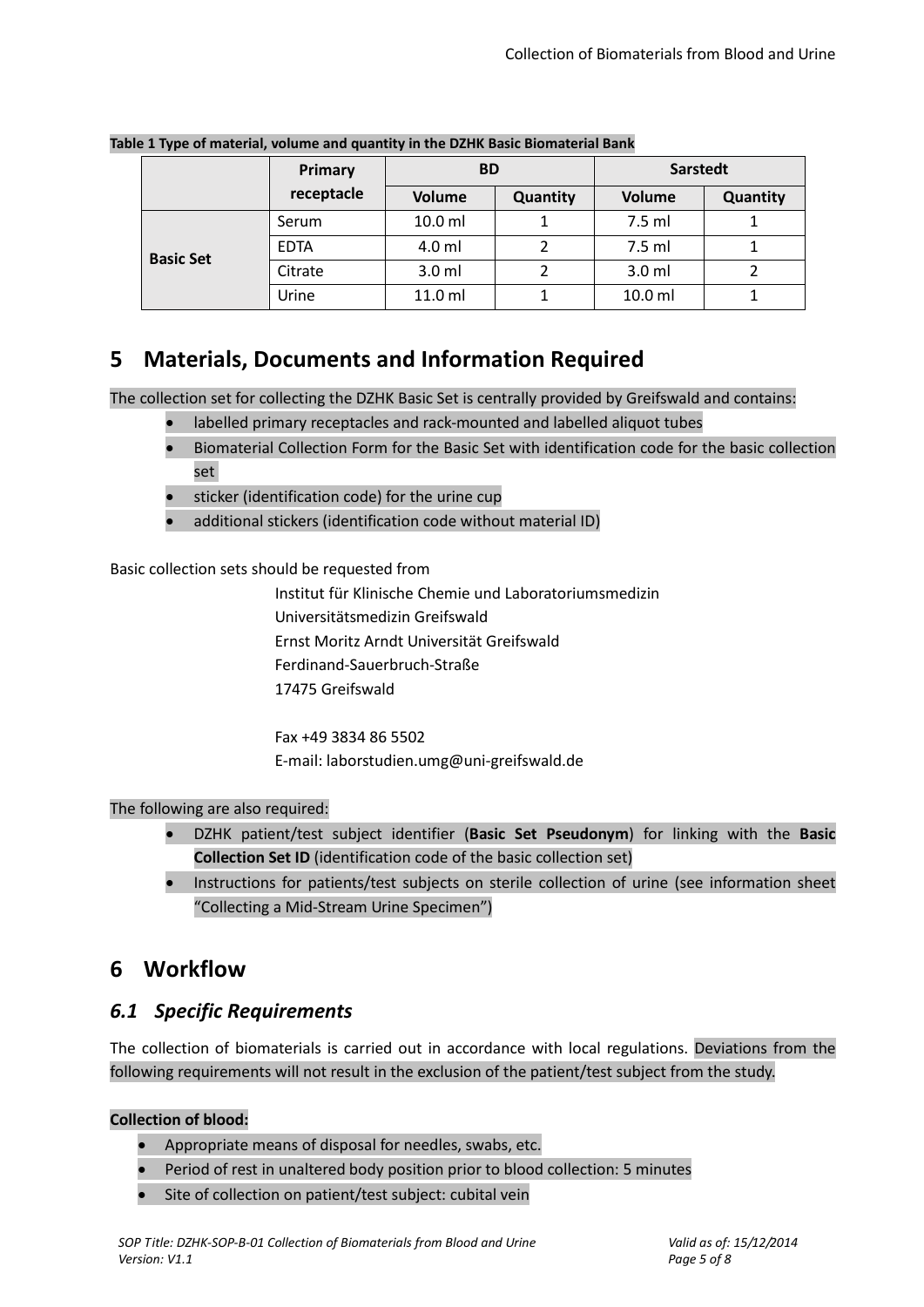|                  | Primary     | <b>BD</b>     |          | <b>Sarstedt</b>  |          |
|------------------|-------------|---------------|----------|------------------|----------|
|                  | receptacle  | <b>Volume</b> | Quantity | <b>Volume</b>    | Quantity |
|                  | Serum       | $10.0$ ml     |          | 7.5 ml           |          |
| <b>Basic Set</b> | <b>EDTA</b> | 4.0 ml        |          | 7.5 ml           |          |
|                  | Citrate     | $3.0$ ml      |          | 3.0 <sub>m</sub> |          |
|                  | Jrine       | 11.0 ml       |          | $10.0$ ml        |          |

<span id="page-4-0"></span>**Table 1 Type of material, volume and quantity in the DZHK Basic Biomaterial Bank**

## **5 Materials, Documents and Information Required**

The collection set for collecting the DZHK Basic Set is centrally provided by Greifswald and contains:

- labelled primary receptacles and rack-mounted and labelled aliquot tubes
- Biomaterial Collection Form for the Basic Set with identification code for the basic collection set
- sticker (identification code) for the urine cup
- additional stickers (identification code without material ID)

Basic collection sets should be requested from

Institut für Klinische Chemie und Laboratoriumsmedizin Universitätsmedizin Greifswald Ernst Moritz Arndt Universität Greifswald Ferdinand-Sauerbruch-Straße 17475 Greifswald

Fax +49 3834 86 5502 E-mail: laborstudien.umg@uni-greifswald.de

#### The following are also required:

- DZHK patient/test subject identifier (**Basic Set Pseudonym**) for linking with the **Basic Collection Set ID** (identification code of the basic collection set)
- Instructions for patients/test subjects on sterile collection of urine (see information sheet "Collecting a Mid-Stream Urine Specimen")

## **6 Workflow**

#### <span id="page-4-1"></span>*6.1 Specific Requirements*

The collection of biomaterials is carried out in accordance with local regulations. Deviations from the following requirements will not result in the exclusion of the patient/test subject from the study.

#### **Collection of blood:**

- Appropriate means of disposal for needles, swabs, etc.
- Period of rest in unaltered body position prior to blood collection: 5 minutes
- Site of collection on patient/test subject: cubital vein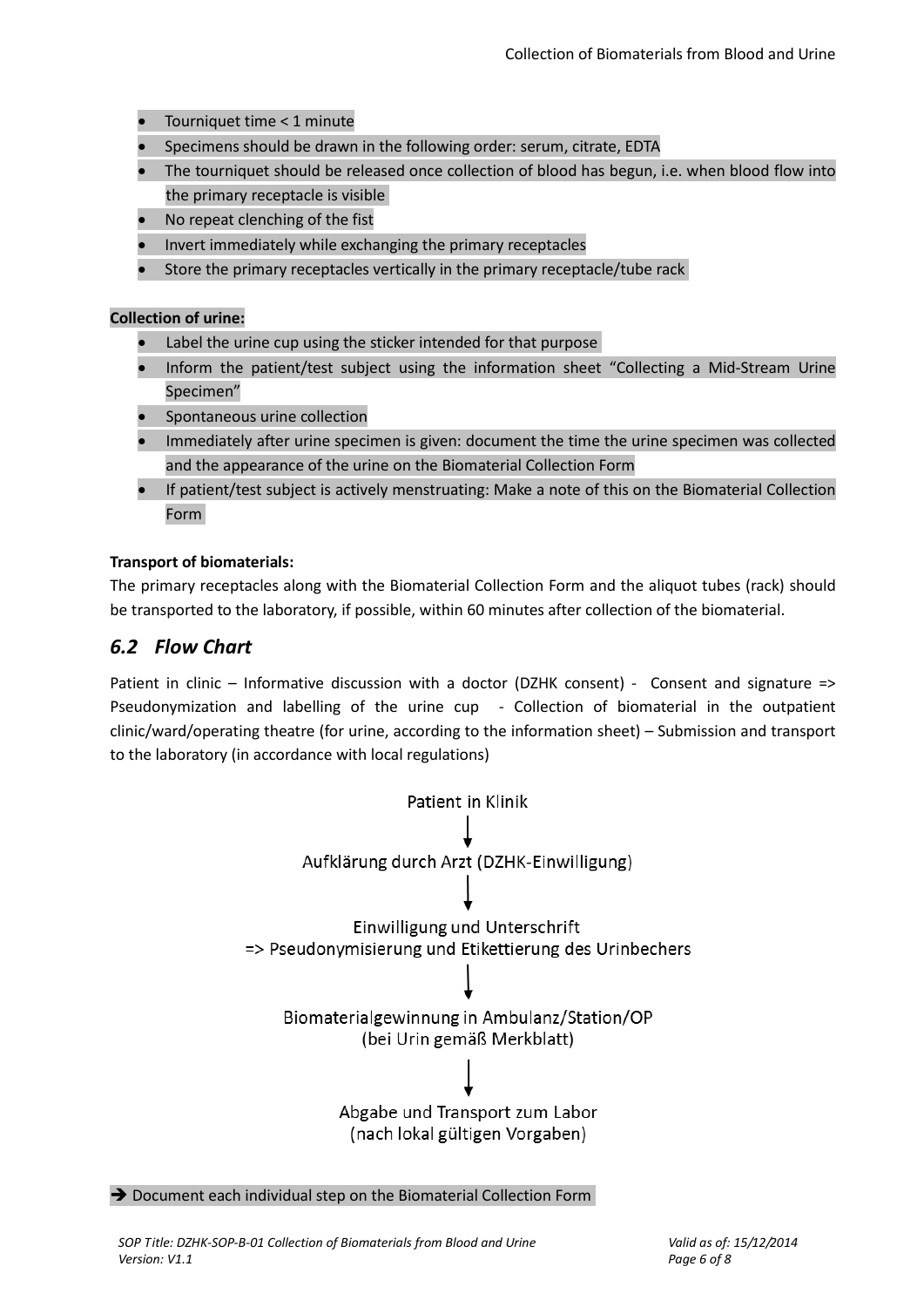- Tourniquet time < 1 minute
- Specimens should be drawn in the following order: serum, citrate, EDTA
- The tourniquet should be released once collection of blood has begun, i.e. when blood flow into the primary receptacle is visible
- No repeat clenching of the fist
- Invert immediately while exchanging the primary receptacles
- Store the primary receptacles vertically in the primary receptacle/tube rack

#### **Collection of urine:**

- Label the urine cup using the sticker intended for that purpose
- Inform the patient/test subject using the information sheet "Collecting a Mid-Stream Urine Specimen"
- Spontaneous urine collection
- Immediately after urine specimen is given: document the time the urine specimen was collected and the appearance of the urine on the Biomaterial Collection Form
- If patient/test subject is actively menstruating: Make a note of this on the Biomaterial Collection Form

#### **Transport of biomaterials:**

The primary receptacles along with the Biomaterial Collection Form and the aliquot tubes (rack) should be transported to the laboratory, if possible, within 60 minutes after collection of the biomaterial.

#### *6.2 Flow Chart*

Patient in clinic – Informative discussion with a doctor (DZHK consent) - Consent and signature => Pseudonymization and labelling of the urine cup - Collection of biomaterial in the outpatient clinic/ward/operating theatre (for urine, according to the information sheet) – Submission and transport to the laboratory (in accordance with local regulations)



 $\rightarrow$  Document each individual step on the Biomaterial Collection Form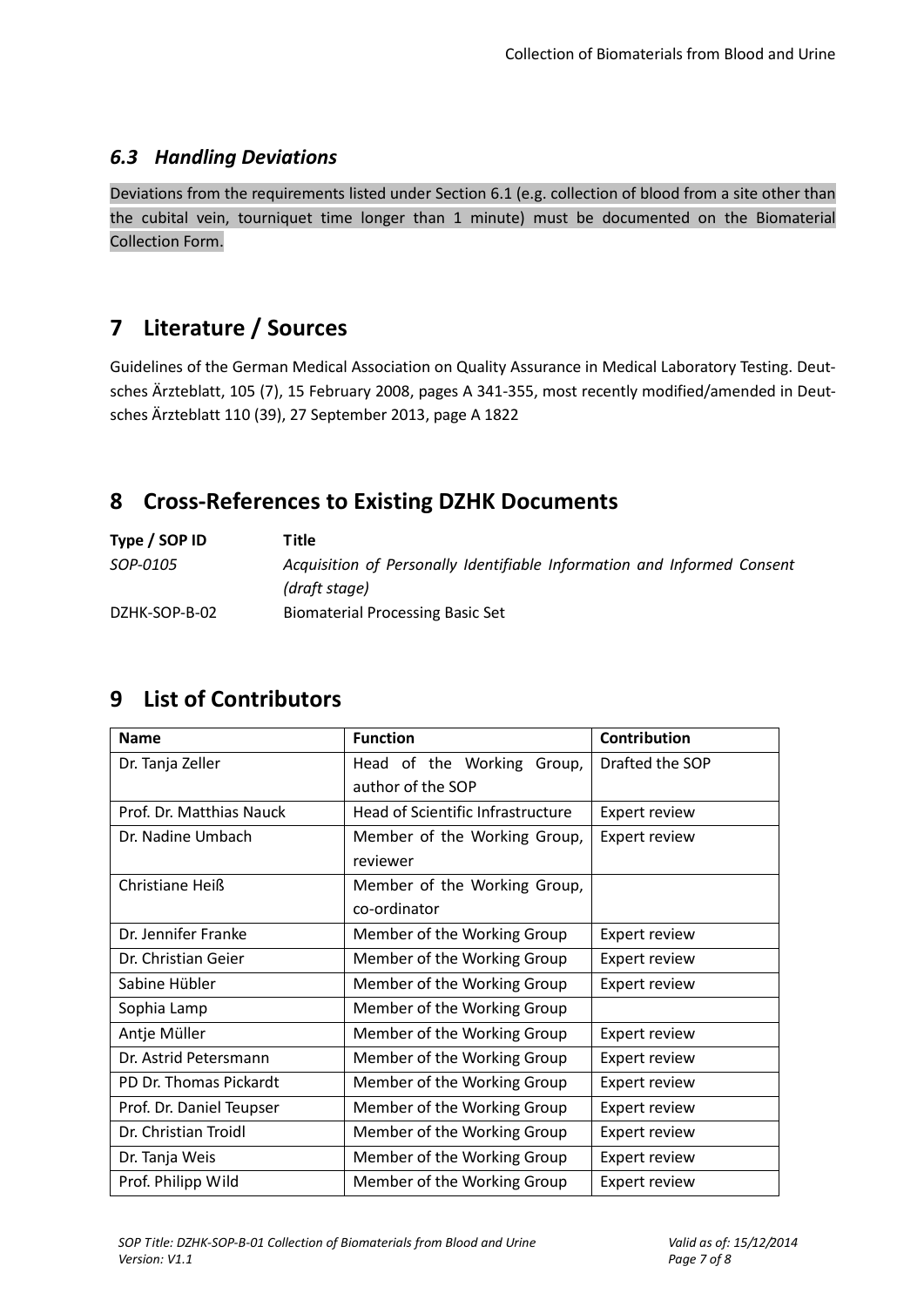#### *6.3 Handling Deviations*

Deviations from the requirements listed under Section [6.1](#page-4-1) (e.g. collection of blood from a site other than the cubital vein, tourniquet time longer than 1 minute) must be documented on the Biomaterial Collection Form.

## **7 Literature / Sources**

Guidelines of the German Medical Association on Quality Assurance in Medical Laboratory Testing. Deutsches Ärzteblatt, 105 (7), 15 February 2008, pages A 341-355, most recently modified/amended in Deutsches Ärzteblatt 110 (39), 27 September 2013, page A 1822

## **8 Cross-References to Existing DZHK Documents**

| Type / SOP ID | Title                                                                   |
|---------------|-------------------------------------------------------------------------|
| SOP-0105      | Acquisition of Personally Identifiable Information and Informed Consent |
|               | (draft stage)                                                           |
| DZHK-SOP-B-02 | <b>Biomaterial Processing Basic Set</b>                                 |

## **9 List of Contributors**

| <b>Name</b>              | <b>Function</b>                   | Contribution         |
|--------------------------|-----------------------------------|----------------------|
| Dr. Tanja Zeller         | Head of the Working Group,        | Drafted the SOP      |
|                          | author of the SOP                 |                      |
| Prof. Dr. Matthias Nauck | Head of Scientific Infrastructure | <b>Expert review</b> |
| Dr. Nadine Umbach        | Member of the Working Group,      | Expert review        |
|                          | reviewer                          |                      |
| Christiane Heiß          | Member of the Working Group,      |                      |
|                          | co-ordinator                      |                      |
| Dr. Jennifer Franke      | Member of the Working Group       | <b>Expert review</b> |
| Dr. Christian Geier      | Member of the Working Group       | <b>Expert review</b> |
| Sabine Hübler            | Member of the Working Group       | <b>Expert review</b> |
| Sophia Lamp              | Member of the Working Group       |                      |
| Antje Müller             | Member of the Working Group       | Expert review        |
| Dr. Astrid Petersmann    | Member of the Working Group       | <b>Expert review</b> |
| PD Dr. Thomas Pickardt   | Member of the Working Group       | <b>Expert review</b> |
| Prof. Dr. Daniel Teupser | Member of the Working Group       | <b>Expert review</b> |
| Dr. Christian Troidl     | Member of the Working Group       | <b>Expert review</b> |
| Dr. Tanja Weis           | Member of the Working Group       | Expert review        |
| Prof. Philipp Wild       | Member of the Working Group       | Expert review        |